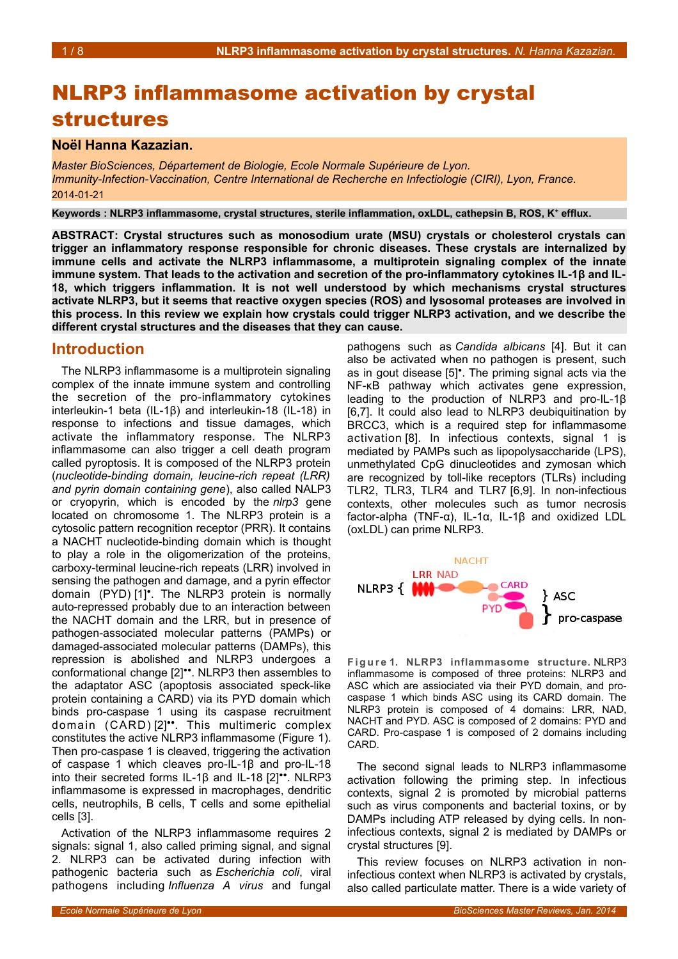# NLRP3 inflammasome activation by crystal structures

## **Noël Hanna Kazazian.**

*Master BioSciences, Département de Biologie, Ecole Normale Supérieure de Lyon. Immunity-Infection-Vaccination, Centre International de Recherche en Infectiologie (CIRI), Lyon, France.* 2014-01-21

**Keywords : NLRP3 inflammasome, crystal structures, sterile inflammation, oxLDL, cathepsin B, ROS, K<sup>+</sup> efflux.**

**ABSTRACT: Crystal structures such as monosodium urate (MSU) crystals or cholesterol crystals can trigger an inflammatory response responsible for chronic diseases. These crystals are internalized by immune cells and activate the NLRP3 inflammasome, a multiprotein signaling complex of the innate immune system. That leads to the activation and secretion of the pro-inflammatory cytokines IL-1β and IL-18, which triggers inflammation. It is not well understood by which mechanisms crystal structures activate NLRP3, but it seems that reactive oxygen species (ROS) and lysosomal proteases are involved in this process. In this review we explain how crystals could trigger NLRP3 activation, and we describe the different crystal structures and the diseases that they can cause.**

### **Introduction**

The NLRP3 inflammasome is a multiprotein signaling complex of the innate immune system and controlling the secretion of the pro-inflammatory cytokines interleukin-1 beta (IL-1β) and interleukin-18 (IL-18) in response to infections and tissue damages, which activate the inflammatory response. The NLRP3 inflammasome can also trigger a cell death program called pyroptosis. It is composed of the NLRP3 protein (*nucleotide-binding domain, leucine-rich repeat (LRR) and pyrin domain containing gene*), also called NALP3 or cryopyrin, which is encoded by the *nlrp3* gene located on chromosome 1. The NLRP3 protein is a cytosolic pattern recognition receptor (PRR). It contains a NACHT nucleotide-binding domain which is thought to play a role in the oligomerization of the proteins, carboxy-terminal leucine-rich repeats (LRR) involved in sensing the pathogen and damage, and a pyrin effector domain (PYD) [1]<sup>•</sup>. The NLRP3 protein is normally auto-repressed probably due to an interaction between the NACHT domain and the LRR, but in presence of pathogen-associated molecular patterns (PAMPs) or damaged-associated molecular patterns (DAMPs), this repression is abolished and NLRP3 undergoes a conformational change  $[2]$ <sup>\*\*</sup>. NLRP3 then assembles to the adaptator ASC (apoptosis associated speck-like protein containing a CARD) via its PYD domain which binds pro-caspase 1 using its caspase recruitment domain (CARD) [2]<sup>\*\*</sup>. This multimeric complex constitutes the active NLRP3 inflammasome (Figure [1\)](#page-0-0). Then pro-caspase 1 is cleaved, triggering the activation of caspase 1 which cleaves pro-IL-1β and pro-IL-18 into their secreted forms IL-1β and IL-18  $[2]$ <sup>\*\*</sup>. NLRP3 inflammasome is expressed in macrophages, dendritic cells, neutrophils, B cells, T cells and some epithelial cells [3].

Activation of the NLRP3 inflammasome requires 2 signals: signal 1, also called priming signal, and signal 2. NLRP3 can be activated during infection with pathogenic bacteria such as *Escherichia coli*, viral pathogens including *Influenza A virus* and fungal

pathogens such as *Candida albicans* [4]. But it can also be activated when no pathogen is present, such as in gout disease [5]<sup>•</sup>. The priming signal acts via the NF-κB pathway which activates gene expression, leading to the production of NLRP3 and pro-IL-1β [6,7]. It could also lead to NLRP3 deubiquitination by BRCC3, which is a required step for inflammasome activation [8]. In infectious contexts, signal 1 is mediated by PAMPs such as lipopolysaccharide (LPS), unmethylated CpG dinucleotides and zymosan which are recognized by toll-like receptors (TLRs) including TLR2, TLR3, TLR4 and TLR7 [6,9]. In non-infectious contexts, other molecules such as tumor necrosis factor-alpha (TNF-α), IL-1α, IL-1β and oxidized LDL (oxLDL) can prime NLRP3.



<span id="page-0-0"></span>**F i g u r e 1. NLRP3 inflammasome structure.** NLRP3 inflammasome is composed of three proteins: NLRP3 and ASC which are assiociated via their PYD domain, and procaspase 1 which binds ASC using its CARD domain. The NLRP3 protein is composed of 4 domains: LRR, NAD, NACHT and PYD. ASC is composed of 2 domains: PYD and CARD. Pro-caspase 1 is composed of 2 domains including CARD.

The second signal leads to NLRP3 inflammasome activation following the priming step. In infectious contexts, signal 2 is promoted by microbial patterns such as virus components and bacterial toxins, or by DAMPs including ATP released by dying cells. In noninfectious contexts, signal 2 is mediated by DAMPs or crystal structures [9].

This review focuses on NLRP3 activation in noninfectious context when NLRP3 is activated by crystals, also called particulate matter. There is a wide variety of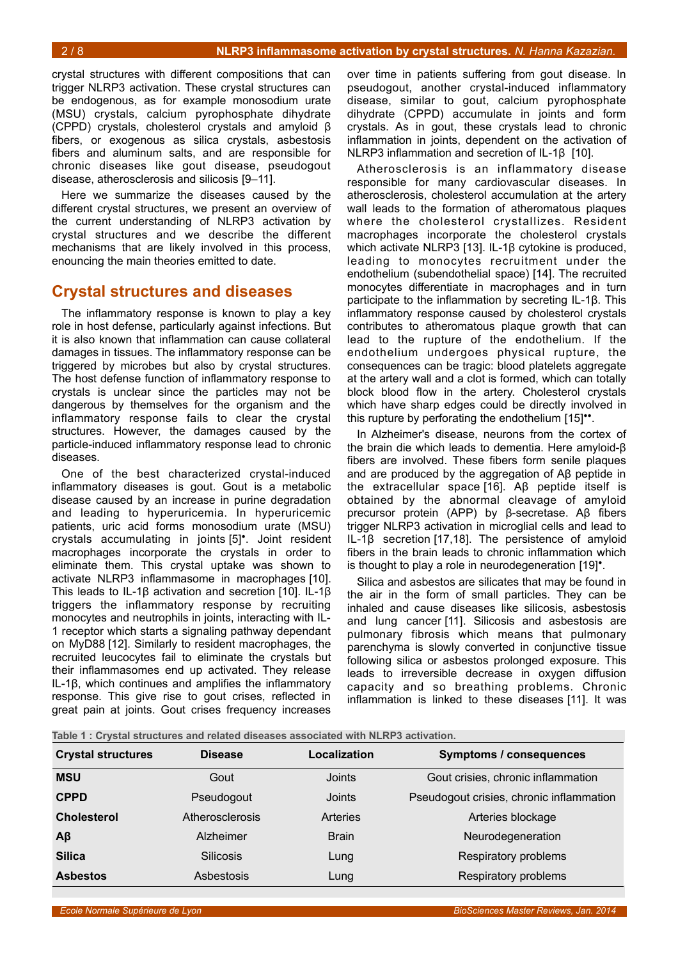crystal structures with different compositions that can trigger NLRP3 activation. These crystal structures can be endogenous, as for example monosodium urate (MSU) crystals, calcium pyrophosphate dihydrate (CPPD) crystals, cholesterol crystals and amyloid β fibers, or exogenous as silica crystals, asbestosis fibers and aluminum salts, and are responsible for chronic diseases like gout disease, pseudogout disease, atherosclerosis and silicosis [9–11].

Here we summarize the diseases caused by the different crystal structures, we present an overview of the current understanding of NLRP3 activation by crystal structures and we describe the different mechanisms that are likely involved in this process, enouncing the main theories emitted to date.

### **Crystal structures and diseases**

The inflammatory response is known to play a key role in host defense, particularly against infections. But it is also known that inflammation can cause collateral damages in tissues. The inflammatory response can be triggered by microbes but also by crystal structures. The host defense function of inflammatory response to crystals is unclear since the particles may not be dangerous by themselves for the organism and the inflammatory response fails to clear the crystal structures. However, the damages caused by the particle-induced inflammatory response lead to chronic diseases.

One of the best characterized crystal-induced inflammatory diseases is gout. Gout is a metabolic disease caused by an increase in purine degradation and leading to hyperuricemia. In hyperuricemic patients, uric acid forms monosodium urate (MSU) crystals accumulating in joints [5]<sup>•</sup>. Joint resident macrophages incorporate the crystals in order to eliminate them. This crystal uptake was shown to activate NLRP3 inflammasome in macrophages [10]. This leads to IL-1β activation and secretion [10]. IL-1β triggers the inflammatory response by recruiting monocytes and neutrophils in joints, interacting with IL-1 receptor which starts a signaling pathway dependant on MyD88 [12]. Similarly to resident macrophages, the recruited leucocytes fail to eliminate the crystals but their inflammasomes end up activated. They release IL-1β, which continues and amplifies the inflammatory response. This give rise to gout crises, reflected in great pain at joints. Gout crises frequency increases

over time in patients suffering from gout disease. In pseudogout, another crystal-induced inflammatory disease, similar to gout, calcium pyrophosphate dihydrate (CPPD) accumulate in joints and form crystals. As in gout, these crystals lead to chronic inflammation in joints, dependent on the activation of NLRP3 inflammation and secretion of IL-1β [10].

Atherosclerosis is an inflammatory disease responsible for many cardiovascular diseases. In atherosclerosis, cholesterol accumulation at the artery wall leads to the formation of atheromatous plaques where the cholesterol crystallizes. Resident macrophages incorporate the cholesterol crystals which activate NLRP3 [13]. IL-1β cytokine is produced, leading to monocytes recruitment under the endothelium (subendothelial space) [14]. The recruited monocytes differentiate in macrophages and in turn participate to the inflammation by secreting IL-1β. This inflammatory response caused by cholesterol crystals contributes to atheromatous plaque growth that can lead to the rupture of the endothelium. If the endothelium undergoes physical rupture, the consequences can be tragic: blood platelets aggregate at the artery wall and a clot is formed, which can totally block blood flow in the artery. Cholesterol crystals which have sharp edges could be directly involved in this rupture by perforating the endothelium  $[15]$ <sup>\*\*</sup>.

In Alzheimer's disease, neurons from the cortex of the brain die which leads to dementia. Here amyloid-β fibers are involved. These fibers form senile plaques and are produced by the aggregation of Aβ peptide in the extracellular space [16]. Aβ peptide itself is obtained by the abnormal cleavage of amyloid precursor protein (APP) by β-secretase. Aβ fibers trigger NLRP3 activation in microglial cells and lead to IL-1β secretion [17,18]. The persistence of amyloid fibers in the brain leads to chronic inflammation which is thought to play a role in neurodegeneration [19]<sup>•</sup>.

Silica and asbestos are silicates that may be found in the air in the form of small particles. They can be inhaled and cause diseases like silicosis, asbestosis and lung cancer [11]. Silicosis and asbestosis are pulmonary fibrosis which means that pulmonary parenchyma is slowly converted in conjunctive tissue following silica or asbestos prolonged exposure. This leads to irreversible decrease in oxygen diffusion capacity and so breathing problems. Chronic inflammation is linked to these diseases [11]. It was

<span id="page-1-0"></span>

| Table 1 : Crystal structures and related diseases associated with NLRP3 activation. |
|-------------------------------------------------------------------------------------|
|-------------------------------------------------------------------------------------|

| <b>Crystal structures</b> | <b>Disease</b>   | Localization | Symptoms / consequences                  |
|---------------------------|------------------|--------------|------------------------------------------|
| <b>MSU</b>                | Gout             | Joints       | Gout crisies, chronic inflammation       |
| <b>CPPD</b>               | Pseudogout       | Joints       | Pseudogout crisies, chronic inflammation |
| <b>Cholesterol</b>        | Atherosclerosis  | Arteries     | Arteries blockage                        |
| $A\beta$                  | Alzheimer        | <b>Brain</b> | Neurodegeneration                        |
| <b>Silica</b>             | <b>Silicosis</b> | Lung         | Respiratory problems                     |
| <b>Asbestos</b>           | Asbestosis       | Lung         | Respiratory problems                     |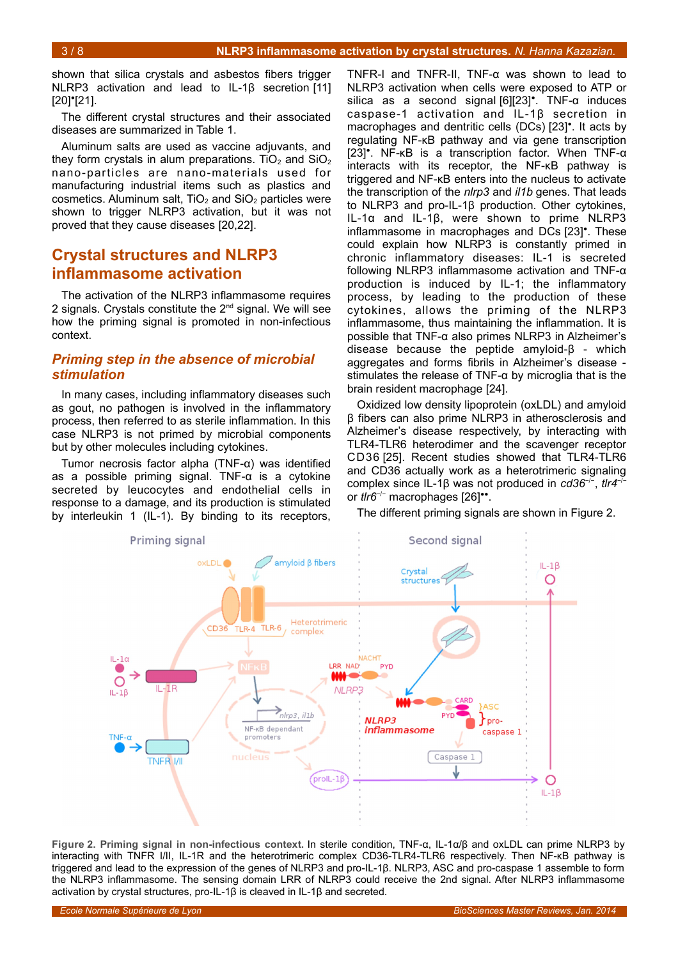shown that silica crystals and asbestos fibers trigger NLRP3 activation and lead to IL-1β secretion [11]  $[20]'$ [21].

The different crystal structures and their associated diseases are summarized in Table [1.](#page-1-0)

Aluminum salts are used as vaccine adjuvants, and they form crystals in alum preparations. TiO<sub>2</sub> and SiO<sub>2</sub> nano-particles are nano-materials used for manufacturing industrial items such as plastics and cosmetics. Aluminum salt,  $TiO<sub>2</sub>$  and  $SiO<sub>2</sub>$  particles were shown to trigger NLRP3 activation, but it was not proved that they cause diseases [20,22].

## **Crystal structures and NLRP3 inflammasome activation**

The activation of the NLRP3 inflammasome requires 2 signals. Crystals constitute the  $2<sup>nd</sup>$  signal. We will see how the priming signal is promoted in non-infectious context.

#### *Priming step in the absence of microbial stimulation*

In many cases, including inflammatory diseases such as gout, no pathogen is involved in the inflammatory process, then referred to as sterile inflammation. In this case NLRP3 is not primed by microbial components but by other molecules including cytokines.

Tumor necrosis factor alpha (TNF-α) was identified as a possible priming signal. TNF-α is a cytokine secreted by leucocytes and endothelial cells in response to a damage, and its production is stimulated by interleukin 1 (IL-1). By binding to its receptors,

TNFR-I and TNFR-II, TNF-α was shown to lead to NLRP3 activation when cells were exposed to ATP or silica as a second signal [6][23]<sup>•</sup>. TNF-α induces caspase-1 activation and IL-1β secretion in macrophages and dentritic cells (DCs) [23]<sup>•</sup>. It acts by regulating NF-κB pathway and via gene transcription [23]<sup>•</sup>. NF-KB is a transcription factor. When TNF- $\alpha$ interacts with its receptor, the NF-κB pathway is triggered and NF-κB enters into the nucleus to activate the transcription of the *nlrp3* and *il1b* genes. That leads to NLRP3 and pro-IL-1β production. Other cytokines, IL-1α and IL-1β, were shown to prime NLRP3 inflammasome in macrophages and DCs [23]<sup>\*</sup>. These could explain how NLRP3 is constantly primed in chronic inflammatory diseases: IL-1 is secreted following NLRP3 inflammasome activation and TNF-α production is induced by IL-1; the inflammatory process, by leading to the production of these cytokines, allows the priming of the NLRP3 inflammasome, thus maintaining the inflammation. It is possible that TNF-α also primes NLRP3 in Alzheimer's disease because the peptide amyloid-β - which aggregates and forms fibrils in Alzheimer's disease stimulates the release of TNF-α by microglia that is the brain resident macrophage [24].

Oxidized low density lipoprotein (oxLDL) and amyloid β fibers can also prime NLRP3 in atherosclerosis and Alzheimer's disease respectively, by interacting with TLR4-TLR6 heterodimer and the scavenger receptor CD36 [25]. Recent studies showed that TLR4-TLR6 and CD36 actually work as a heterotrimeric signaling complex since IL-1β was not produced in *cd36*−/− , *tlr4*−/− or *tlr6<sup>-/-</sup>* macrophages [26]<sup>••</sup>.

The different priming signals are shown in Figure [2.](#page-2-0)



<span id="page-2-0"></span>**Figure 2. Priming signal in non-infectious context.** In sterile condition, TNF-α, IL-1α/β and oxLDL can prime NLRP3 by interacting with TNFR I/II, IL-1R and the heterotrimeric complex CD36-TLR4-TLR6 respectively. Then NF-κB pathway is triggered and lead to the expression of the genes of NLRP3 and pro-IL-1β. NLRP3, ASC and pro-caspase 1 assemble to form the NLRP3 inflammasome. The sensing domain LRR of NLRP3 could receive the 2nd signal. After NLRP3 inflammasome activation by crystal structures, pro-IL-1β is cleaved in IL-1β and secreted.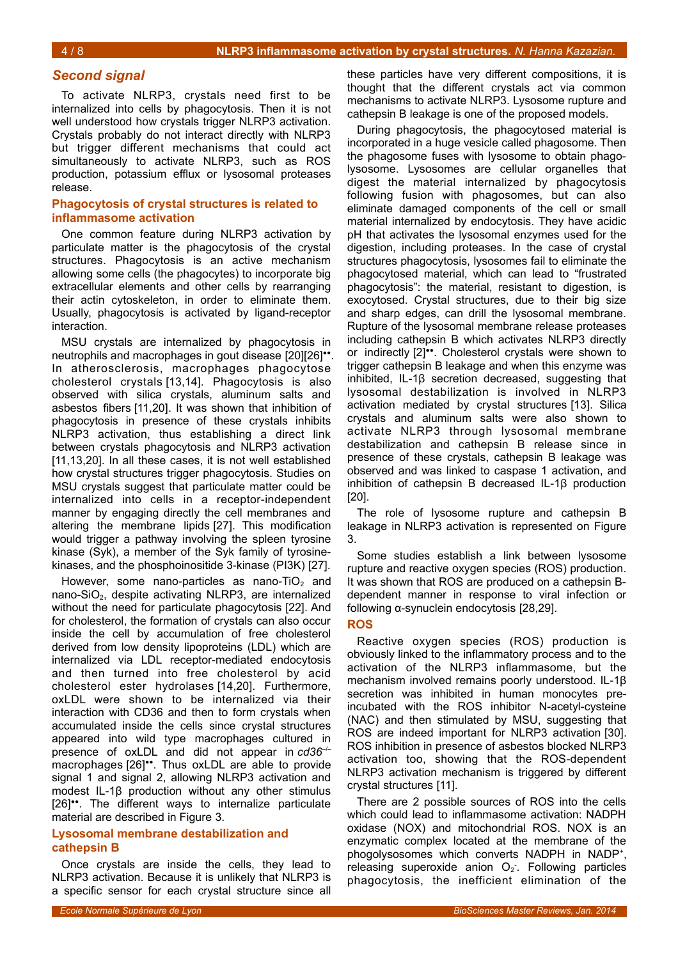#### *Second signal*

To activate NLRP3, crystals need first to be internalized into cells by phagocytosis. Then it is not well understood how crystals trigger NLRP3 activation. Crystals probably do not interact directly with NLRP3 but trigger different mechanisms that could act simultaneously to activate NLRP3, such as ROS production, potassium efflux or lysosomal proteases release.

#### **Phagocytosis of crystal structures is related to inflammasome activation**

One common feature during NLRP3 activation by particulate matter is the phagocytosis of the crystal structures. Phagocytosis is an active mechanism allowing some cells (the phagocytes) to incorporate big extracellular elements and other cells by rearranging their actin cytoskeleton, in order to eliminate them. Usually, phagocytosis is activated by ligand-receptor interaction.

MSU crystals are internalized by phagocytosis in neutrophils and macrophages in gout disease [20][26]". In atherosclerosis, macrophages phagocytose cholesterol crystals [13,14]. Phagocytosis is also observed with silica crystals, aluminum salts and asbestos fibers [11,20]. It was shown that inhibition of phagocytosis in presence of these crystals inhibits NLRP3 activation, thus establishing a direct link between crystals phagocytosis and NLRP3 activation [11,13,20]. In all these cases, it is not well established how crystal structures trigger phagocytosis. Studies on MSU crystals suggest that particulate matter could be internalized into cells in a receptor-independent manner by engaging directly the cell membranes and altering the membrane lipids [27]. This modification would trigger a pathway involving the spleen tyrosine kinase (Syk), a member of the Syk family of tyrosinekinases, and the phosphoinositide 3-kinase (PI3K) [27].

However, some nano-particles as nano-TiO<sub>2</sub> and nano-SiO<sub>2</sub>, despite activating NLRP3, are internalized without the need for particulate phagocytosis [22]. And for cholesterol, the formation of crystals can also occur inside the cell by accumulation of free cholesterol derived from low density lipoproteins (LDL) which are internalized via LDL receptor-mediated endocytosis and then turned into free cholesterol by acid cholesterol ester hydrolases [14,20]. Furthermore, oxLDL were shown to be internalized via their interaction with CD36 and then to form crystals when accumulated inside the cells since crystal structures appeared into wild type macrophages cultured in presence of oxLDL and did not appear in *cd36<sup>-1</sup>* macrophages [26]<sup>\*\*</sup>. Thus oxLDL are able to provide signal 1 and signal 2, allowing NLRP3 activation and modest IL-1β production without any other stimulus [26]<sup>\*\*</sup>. The different ways to internalize particulate material are described in Figure [3.](#page-4-0)

#### **Lysosomal membrane destabilization and cathepsin B**

Once crystals are inside the cells, they lead to NLRP3 activation. Because it is unlikely that NLRP3 is a specific sensor for each crystal structure since all these particles have very different compositions, it is thought that the different crystals act via common mechanisms to activate NLRP3. Lysosome rupture and cathepsin B leakage is one of the proposed models.

During phagocytosis, the phagocytosed material is incorporated in a huge vesicle called phagosome. Then the phagosome fuses with lysosome to obtain phagolysosome. Lysosomes are cellular organelles that digest the material internalized by phagocytosis following fusion with phagosomes, but can also eliminate damaged components of the cell or small material internalized by endocytosis. They have acidic pH that activates the lysosomal enzymes used for the digestion, including proteases. In the case of crystal structures phagocytosis, lysosomes fail to eliminate the phagocytosed material, which can lead to "frustrated phagocytosis": the material, resistant to digestion, is exocytosed. Crystal structures, due to their big size and sharp edges, can drill the lysosomal membrane. Rupture of the lysosomal membrane release proteases including cathepsin B which activates NLRP3 directly or indirectly [2]<sup>\*\*</sup>. Cholesterol crystals were shown to trigger cathepsin B leakage and when this enzyme was inhibited, IL-1β secretion decreased, suggesting that lysosomal destabilization is involved in NLRP3 activation mediated by crystal structures [13]. Silica crystals and aluminum salts were also shown to activate NLRP3 through lysosomal membrane destabilization and cathepsin B release since in presence of these crystals, cathepsin B leakage was observed and was linked to caspase 1 activation, and inhibition of cathepsin B decreased IL-1β production [20].

The role of lysosome rupture and cathepsin B leakage in NLRP3 activation is represented on Figure [3.](#page-4-0)

Some studies establish a link between lysosome rupture and reactive oxygen species (ROS) production. It was shown that ROS are produced on a cathepsin Bdependent manner in response to viral infection or following α-synuclein endocytosis [28,29].

#### **ROS**

Reactive oxygen species (ROS) production is obviously linked to the inflammatory process and to the activation of the NLRP3 inflammasome, but the mechanism involved remains poorly understood. IL-1β secretion was inhibited in human monocytes preincubated with the ROS inhibitor N-acetyl-cysteine (NAC) and then stimulated by MSU, suggesting that ROS are indeed important for NLRP3 activation [30]. ROS inhibition in presence of asbestos blocked NLRP3 activation too, showing that the ROS-dependent NLRP3 activation mechanism is triggered by different crystal structures [11].

There are 2 possible sources of ROS into the cells which could lead to inflammasome activation: NADPH oxidase (NOX) and mitochondrial ROS. NOX is an enzymatic complex located at the membrane of the phogolysosomes which converts NADPH in NADP<sup>+</sup>, releasing superoxide anion  $O_2$ . Following particles phagocytosis, the inefficient elimination of the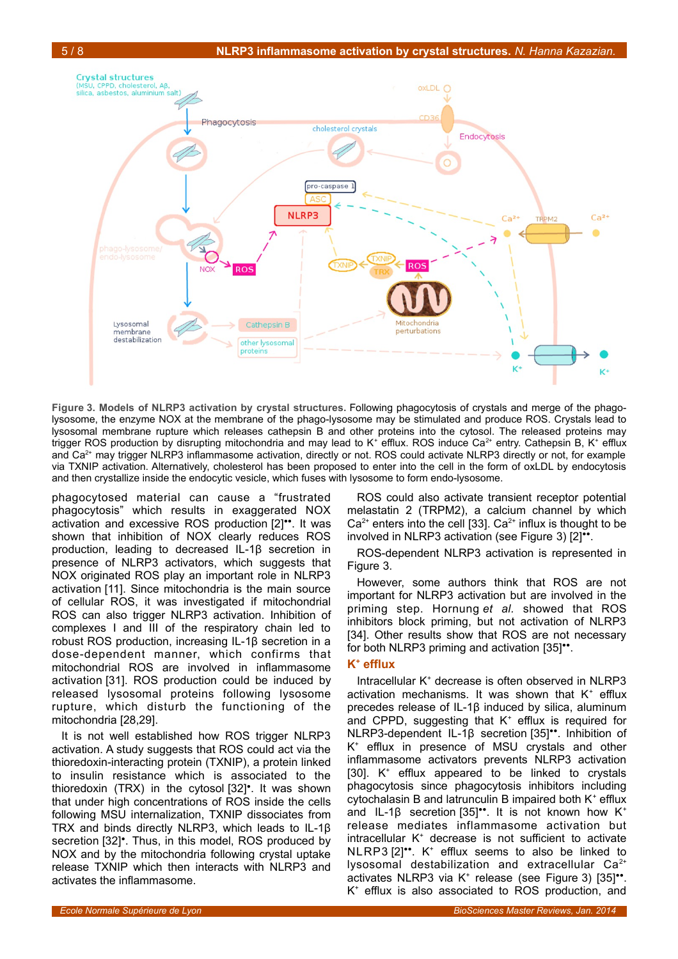

<span id="page-4-0"></span>**Figure 3. Models of NLRP3 activation by crystal structures.** Following phagocytosis of crystals and merge of the phagolysosome, the enzyme NOX at the membrane of the phago-lysosome may be stimulated and produce ROS. Crystals lead to lysosomal membrane rupture which releases cathepsin B and other proteins into the cytosol. The released proteins may trigger ROS production by disrupting mitochondria and may lead to K<sup>+</sup> efflux. ROS induce Ca<sup>2+</sup> entry. Cathepsin B, K<sup>+</sup> efflux and Ca<sup>2+</sup> may trigger NLRP3 inflammasome activation, directly or not. ROS could activate NLRP3 directly or not, for example via TXNIP activation. Alternatively, cholesterol has been proposed to enter into the cell in the form of oxLDL by endocytosis and then crystallize inside the endocytic vesicle, which fuses with lysosome to form endo-lysosome.

phagocytosed material can cause a "frustrated phagocytosis" which results in exaggerated NOX activation and excessive ROS production [2]<sup>\*\*</sup>. It was shown that inhibition of NOX clearly reduces ROS production, leading to decreased IL-1β secretion in presence of NLRP3 activators, which suggests that NOX originated ROS play an important role in NLRP3 activation [11]. Since mitochondria is the main source of cellular ROS, it was investigated if mitochondrial ROS can also trigger NLRP3 activation. Inhibition of complexes I and III of the respiratory chain led to robust ROS production, increasing IL-1β secretion in a dose-dependent manner, which confirms that mitochondrial ROS are involved in inflammasome activation [31]. ROS production could be induced by released lysosomal proteins following lysosome rupture, which disturb the functioning of the mitochondria [28,29].

It is not well established how ROS trigger NLRP3 activation. A study suggests that ROS could act via the thioredoxin-interacting protein (TXNIP), a protein linked to insulin resistance which is associated to the thioredoxin (TRX) in the cytosol [32]<sup>•</sup>. It was shown that under high concentrations of ROS inside the cells following MSU internalization, TXNIP dissociates from TRX and binds directly NLRP3, which leads to IL-1β secretion [32]<sup>•</sup>. Thus, in this model, ROS produced by NOX and by the mitochondria following crystal uptake release TXNIP which then interacts with NLRP3 and activates the inflammasome.

ROS could also activate transient receptor potential melastatin 2 (TRPM2), a calcium channel by which  $Ca<sup>2+</sup>$  enters into the cell [33].  $Ca<sup>2+</sup>$  influx is thought to be involved in NLRP3 activation (see Figure [3\)](#page-4-0) [2]".

ROS-dependent NLRP3 activation is represented in Figure [3.](#page-4-0)

However, some authors think that ROS are not important for NLRP3 activation but are involved in the priming step. Hornung *et al.* showed that ROS inhibitors block priming, but not activation of NLRP3 [34]. Other results show that ROS are not necessary for both NLRP3 priming and activation [35]".

#### **K + efflux**

Intracellular K<sup>+</sup> decrease is often observed in NLRP3 activation mechanisms. It was shown that  $K^+$  efflux precedes release of IL-1β induced by silica, aluminum and CPPD, suggesting that  $K^+$  efflux is required for NLRP3-dependent IL-1β secretion [35]<sup>••</sup>. Inhibition of K + efflux in presence of MSU crystals and other inflammasome activators prevents NLRP3 activation [30]. K<sup>+</sup> efflux appeared to be linked to crystals phagocytosis since phagocytosis inhibitors including cytochalasin B and latrunculin B impaired both  $K^+$  efflux and IL-1 $\beta$  secretion [35]\*\*. It is not known how K<sup>+</sup> release mediates inflammasome activation but intracellular K<sup>+</sup> decrease is not sufficient to activate  $NLRP3 [2]$ <sup>\*</sup>. K<sup>+</sup> efflux seems to also be linked to lysosomal destabilization and extracellular Ca<sup>2+</sup> activates NLRP3 via K<sup>+</sup> release (see Figure [3\)](#page-4-0) [35]". K + efflux is also associated to ROS production, and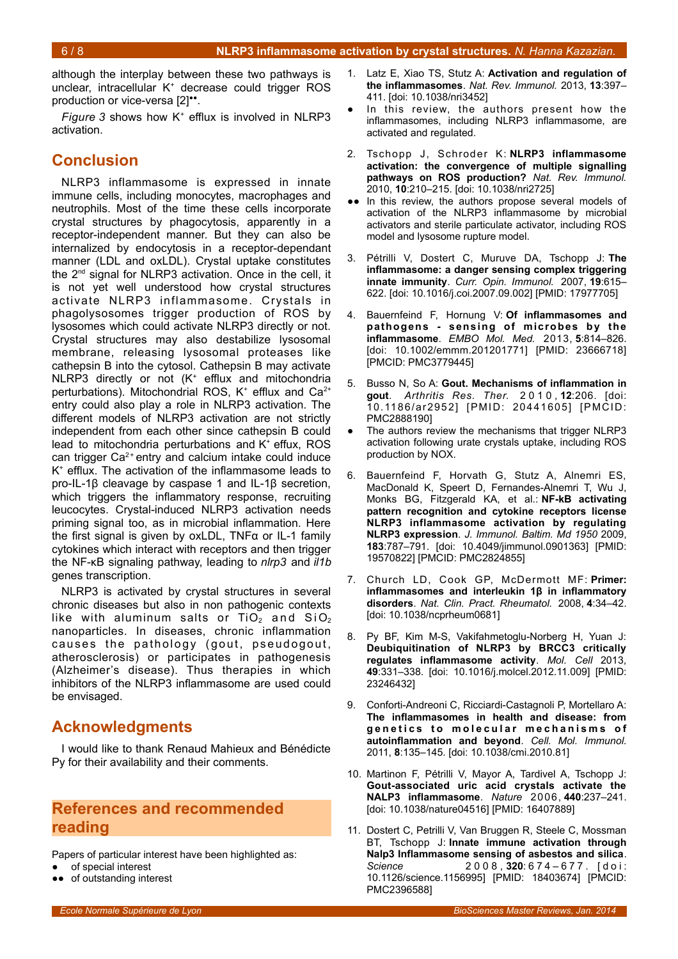although the interplay between these two pathways is unclear, intracellular K<sup>+</sup> decrease could trigger ROS production or vice-versa [2]".

Figure [3](#page-4-0) shows how K<sup>+</sup> efflux is involved in NLRP3 activation.

## **Conclusion**

NLRP3 inflammasome is expressed in innate immune cells, including monocytes, macrophages and neutrophils. Most of the time these cells incorporate crystal structures by phagocytosis, apparently in a receptor-independent manner. But they can also be internalized by endocytosis in a receptor-dependant manner (LDL and oxLDL). Crystal uptake constitutes the 2nd signal for NLRP3 activation. Once in the cell, it is not yet well understood how crystal structures activate NLRP3 inflammasome. Crystals in phagolysosomes trigger production of ROS by lysosomes which could activate NLRP3 directly or not. Crystal structures may also destabilize lysosomal membrane, releasing lysosomal proteases like cathepsin B into the cytosol. Cathepsin B may activate NLRP3 directly or not (K<sup>+</sup> efflux and mitochondria perturbations). Mitochondrial ROS,  $K^+$  efflux and Ca<sup>2+</sup> entry could also play a role in NLRP3 activation. The different models of NLRP3 activation are not strictly independent from each other since cathepsin B could lead to mitochondria perturbations and K<sup>+</sup> effux, ROS can trigger  $Ca<sup>2+</sup>$  entry and calcium intake could induce K + efflux. The activation of the inflammasome leads to pro-IL-1β cleavage by caspase 1 and IL-1β secretion, which triggers the inflammatory response, recruiting leucocytes. Crystal-induced NLRP3 activation needs priming signal too, as in microbial inflammation. Here the first signal is given by oxLDL, TNFα or IL-1 family cytokines which interact with receptors and then trigger the NF-κB signaling pathway, leading to *nlrp3* and *il1b* genes transcription.

NLRP3 is activated by crystal structures in several chronic diseases but also in non pathogenic contexts like with aluminum salts or  $TiO<sub>2</sub>$  and  $SiO<sub>2</sub>$ nanoparticles. In diseases, chronic inflammation causes the pathology (gout, pseudogout, atherosclerosis) or participates in pathogenesis (Alzheimer's disease). Thus therapies in which inhibitors of the NLRP3 inflammasome are used could be envisaged.

## **Acknowledgments**

I would like to thank Renaud Mahieux and Bénédicte Py for their availability and their comments.

## **References and recommended reading**

Papers of particular interest have been highlighted as:

- of special interest
- •• of outstanding interest
- 1. Latz E, Xiao TS, Stutz A: **Activation and regulation of the inflammasomes**. *Nat. Rev. Immunol.* 2013, **13**:397– 411. [doi: 10.1038/nri3452]
- In this review, the authors present how the inflammasomes, including NLRP3 inflammasome, are activated and regulated.
- 2. Tschopp J, Schroder K: **NLRP3 inflammasome activation: the convergence of multiple signalling pathways on ROS production?** *Nat. Rev. Immunol.* 2010, **10**:210–215. [doi: 10.1038/nri2725]
- ●● In this review, the authors propose several models of activation of the NLRP3 inflammasome by microbial activators and sterile particulate activator, including ROS model and lysosome rupture model.
- 3. Pétrilli V, Dostert C, Muruve DA, Tschopp J: **The inflammasome: a danger sensing complex triggering innate immunity**. *Curr. Opin. Immunol.* 2007, **19**:615– 622. [doi: 10.1016/j.coi.2007.09.002] [PMID: 17977705]
- 4. Bauernfeind F, Hornung V: **Of inflammasomes and pathogens - sensing of microbes by the inflammasome**. *EMBO Mol. Med.* 2013, **5**:814–826. [doi: 10.1002/emmm.201201771] [PMID: 23666718] [PMCID: PMC3779445]
- 5. Busso N, So A: **Gout. Mechanisms of inflammation in gout**. *Arthritis Res. Ther.* 2 0 1 0 , **12**:206. [doi: 10.1186/ar2952] [PMID: 20441605] [PMCID: PMC2888190]
- The authors review the mechanisms that trigger NLRP3 activation following urate crystals uptake, including ROS production by NOX.
- 6. Bauernfeind F, Horvath G, Stutz A, Alnemri ES, MacDonald K, Speert D, Fernandes-Alnemri T, Wu J, Monks BG, Fitzgerald KA, et al.: **NF-kB activating pattern recognition and cytokine receptors license NLRP3 inflammasome activation by regulating NLRP3 expression**. *J. Immunol. Baltim. Md 1950* 2009, **183**:787–791. [doi: 10.4049/jimmunol.0901363] [PMID: 19570822] [PMCID: PMC2824855]
- 7. Church LD, Cook GP, McDermott MF: **Primer: inflammasomes and interleukin 1β in inflammatory disorders**. *Nat. Clin. Pract. Rheumatol.* 2008, **4**:34–42. [doi: 10.1038/ncprheum0681]
- 8. Py BF, Kim M-S, Vakifahmetoglu-Norberg H, Yuan J: **Deubiquitination of NLRP3 by BRCC3 critically regulates inflammasome activity**. *Mol. Cell* 2013, **49**:331–338. [doi: 10.1016/j.molcel.2012.11.009] [PMID: 23246432]
- 9. Conforti-Andreoni C, Ricciardi-Castagnoli P, Mortellaro A: **The inflammasomes in health and disease: from g e n e t i c s t o m o l e c u l a r m e c h a n i s m s o f autoinflammation and beyond**. *Cell. Mol. Immunol.* 2011, **8**:135–145. [doi: 10.1038/cmi.2010.81]
- 10. Martinon F, Pétrilli V, Mayor A, Tardivel A, Tschopp J: **Gout-associated uric acid crystals activate the NALP3 inflammasome**. *Nature* 2006, **440**:237–241. [doi: 10.1038/nature04516] [PMID: 16407889]
- 11. Dostert C, Petrilli V, Van Bruggen R, Steele C, Mossman BT, Tschopp J: **Innate immune activation through Nalp3 Inflammasome sensing of asbestos and silica**. *Science* 2 0 0 8 , **320**: 6 7 4 – 6 7 7 . [ d o i : 10.1126/science.1156995] [PMID: 18403674] [PMCID: PMC2396588]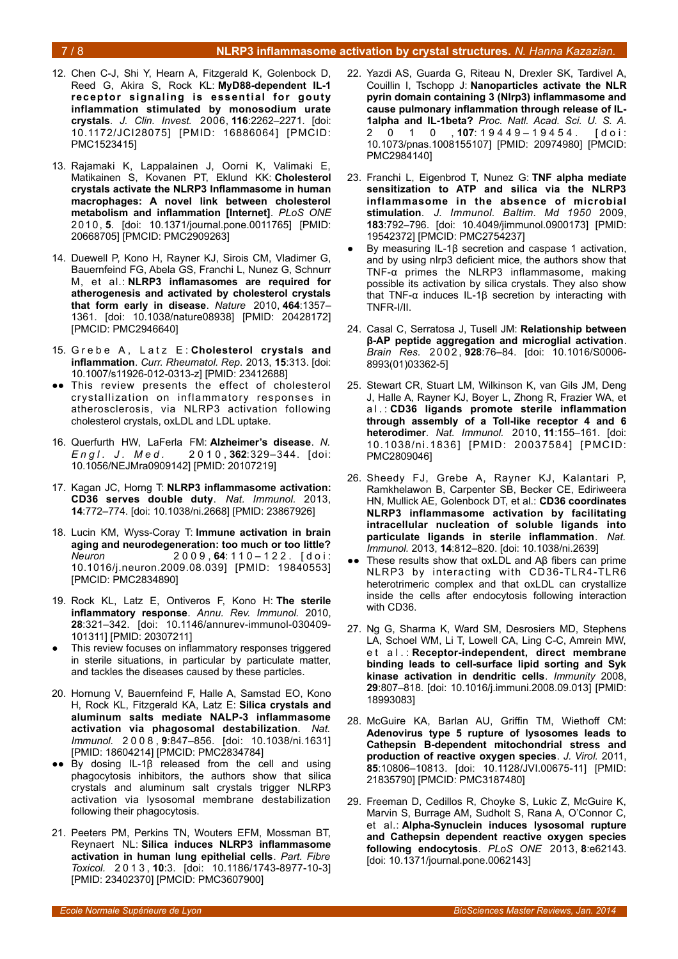#### 7 / 8 **NLRP3 inflammasome activation by crystal structures.** *N. Hanna Kazazian.*

- 12. Chen C-J, Shi Y, Hearn A, Fitzgerald K, Golenbock D, Reed G, Akira S, Rock KL: **MyD88-dependent IL-1 receptor signaling is essential for gouty inflammation stimulated by monosodium urate crystals**. *J. Clin. Invest.* 2006, **116**:2262–2271. [doi: 10.1172/JCI28075] [PMID: 16886064] [PMCID: PMC1523415]
- 13. Rajamaki K, Lappalainen J, Oorni K, Valimaki E, Matikainen S, Kovanen PT, Eklund KK: **Cholesterol crystals activate the NLRP3 Inflammasome in human macrophages: A novel link between cholesterol metabolism and inflammation [Internet]**. *PLoS ONE* 201 0, **5**. [doi: 10.1371/journal.pone.0011765] [PMID: 20668705] [PMCID: PMC2909263]
- 14. Duewell P, Kono H, Rayner KJ, Sirois CM, Vladimer G, Bauernfeind FG, Abela GS, Franchi L, Nunez G, Schnurr M, et al.: **NLRP3 inflamasomes are required for atherogenesis and activated by cholesterol crystals that form early in disease**. *Nature* 2010, **464**:1357– 1361. [doi: 10.1038/nature08938] [PMID: 20428172] [PMCID: PMC2946640]
- 15. Grebe A, Latz E: Cholesterol crystals and **inflammation**. *Curr. Rheumatol. Rep.* 2013, **15**:313. [doi: 10.1007/s11926-012-0313-z] [PMID: 23412688]
- ●● This review presents the effect of cholesterol crystallization on inflammatory responses in atherosclerosis, via NLRP3 activation following cholesterol crystals, oxLDL and LDL uptake.
- 16. Querfurth HW, LaFerla FM: **Alzheimer's disease**. *N. E n g l . J . M e d .* 2 0 1 0 , **362**:329–344. [doi: 10.1056/NEJMra0909142] [PMID: 20107219]
- 17. Kagan JC, Horng T: **NLRP3 inflammasome activation: CD36 serves double duty**. *Nat. Immunol.* 2013, **14**:772–774. [doi: 10.1038/ni.2668] [PMID: 23867926]
- 18. Lucin KM, Wyss-Coray T: **Immune activation in brain aging and neurodegeneration: too much or too little?** *Neuron* 2 0 0 9 , **64**: 1 1 0 – 1 2 2 . [ d o i : 10.1016/j.neuron.2009.08.039] [PMID: 19840553] [PMCID: PMC2834890]
- 19. Rock KL, Latz E, Ontiveros F, Kono H: **The sterile inflammatory response**. *Annu. Rev. Immunol.* 2010, **28**:321–342. [doi: 10.1146/annurev-immunol-030409- 101311] [PMID: 20307211]
- This review focuses on inflammatory responses triggered in sterile situations, in particular by particulate matter, and tackles the diseases caused by these particles.
- 20. Hornung V, Bauernfeind F, Halle A, Samstad EO, Kono H, Rock KL, Fitzgerald KA, Latz E: **Silica crystals and aluminum salts mediate NALP-3 inflammasome activation via phagosomal destabilization**. *Nat. Immunol.* 2 0 0 8 , **9**:847–856. [doi: 10.1038/ni.1631] [PMID: 18604214] [PMCID: PMC2834784]
- $●$  By dosing IL-1β released from the cell and using phagocytosis inhibitors, the authors show that silica crystals and aluminum salt crystals trigger NLRP3 activation via lysosomal membrane destabilization following their phagocytosis.
- 21. Peeters PM, Perkins TN, Wouters EFM, Mossman BT, Reynaert NL: **Silica induces NLRP3 inflammasome activation in human lung epithelial cells**. *Part. Fibre Toxicol.* 2 0 1 3 , **10**:3. [doi: 10.1186/1743-8977-10-3] [PMID: 23402370] [PMCID: PMC3607900]
- 22. Yazdi AS, Guarda G, Riteau N, Drexler SK, Tardivel A, Couillin I, Tschopp J: **Nanoparticles activate the NLR pyrin domain containing 3 (Nlrp3) inflammasome and cause pulmonary inflammation through release of IL-1alpha and IL-1beta?** *Proc. Natl. Acad. Sci. U. S. A.* 2 0 1 0 , **107**: 1 9 4 4 9 – 1 9 4 5 4 . [ d o i : 10.1073/pnas.1008155107] [PMID: 20974980] [PMCID: PMC2984140]
- 23. Franchi L, Eigenbrod T, Nunez G: **TNF alpha mediate sensitization to ATP and silica via the NLRP3 inflammasome in the absence of microbial stimulation**. *J. Immunol. Baltim. Md 1950* 2009, **183**:792–796. [doi: 10.4049/jimmunol.0900173] [PMID: 19542372] [PMCID: PMC2754237]
- By measuring IL-1β secretion and caspase 1 activation, and by using nlrp3 deficient mice, the authors show that TNF-α primes the NLRP3 inflammasome, making possible its activation by silica crystals. They also show that TNF-α induces IL-1β secretion by interacting with TNFR-I/II.
- 24. Casal C, Serratosa J, Tusell JM: **Relationship between β-AP peptide aggregation and microglial activation**. *Brain Res.* 2 0 0 2 , **928**:76–84. [doi: 10.1016/S0006- 8993(01)03362-5]
- 25. Stewart CR, Stuart LM, Wilkinson K, van Gils JM, Deng J, Halle A, Rayner KJ, Boyer L, Zhong R, Frazier WA, et a l . : **CD36 ligands promote sterile inflammation through assembly of a Toll-like receptor 4 and 6 heterodimer**. *Nat. Immunol.* 2010, **11**:155–161. [doi: 10.1038/ni.1836] [PMID: 20037584] [PMCID: PMC2809046]
- 26. Sheedy FJ, Grebe A, Rayner KJ, Kalantari P, Ramkhelawon B, Carpenter SB, Becker CE, Ediriweera HN, Mullick AE, Golenbock DT, et al.: **CD36 coordinates NLRP3 inflammasome activation by facilitating intracellular nucleation of soluble ligands into particulate ligands in sterile inflammation**. *Nat. Immunol.* 2013, **14**:812–820. [doi: 10.1038/ni.2639]
- These results show that oxLDL and Aβ fibers can prime NLRP3 by interacting with CD36-TLR4-TLR6 heterotrimeric complex and that oxLDL can crystallize inside the cells after endocytosis following interaction with CD36.
- 27. Ng G, Sharma K, Ward SM, Desrosiers MD, Stephens LA, Schoel WM, Li T, Lowell CA, Ling C-C, Amrein MW, e t a l . : **Receptor-independent, direct membrane binding leads to cell-surface lipid sorting and Syk kinase activation in dendritic cells**. *Immunity* 2008, **29**:807–818. [doi: 10.1016/j.immuni.2008.09.013] [PMID: 18993083]
- 28. McGuire KA, Barlan AU, Griffin TM, Wiethoff CM: **Adenovirus type 5 rupture of lysosomes leads to Cathepsin B-dependent mitochondrial stress and production of reactive oxygen species**. *J. Virol.* 2011, **85**:10806–10813. [doi: 10.1128/JVI.00675-11] [PMID: 21835790] [PMCID: PMC3187480]
- 29. Freeman D, Cedillos R, Choyke S, Lukic Z, McGuire K, Marvin S, Burrage AM, Sudholt S, Rana A, O'Connor C, et al.: **Alpha-Synuclein induces lysosomal rupture and Cathepsin dependent reactive oxygen species following endocytosis**. *PLoS ONE* 2013, **8**:e62143. [doi: 10.1371/journal.pone.0062143]